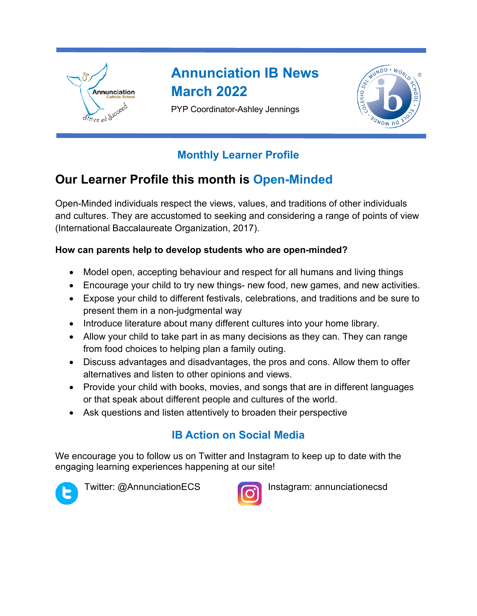

# **Annunciation IB News March 2022**

PYP Coordinator-Ashley Jennings



# **Monthly Learner Profile**

# **Our Learner Profile this month is Open-Minded**

Open-Minded individuals respect the views, values, and traditions of other individuals and cultures. They are accustomed to seeking and considering a range of points of view (International Baccalaureate Organization, 2017).

#### **How can parents help to develop students who are open-minded?**

- Model open, accepting behaviour and respect for all humans and living things
- Encourage your child to try new things- new food, new games, and new activities.
- Expose your child to different festivals, celebrations, and traditions and be sure to present them in a non-judgmental way
- Introduce literature about many different cultures into your home library.
- Allow your child to take part in as many decisions as they can. They can range from food choices to helping plan a family outing.
- Discuss advantages and disadvantages, the pros and cons. Allow them to offer alternatives and listen to other opinions and views.
- Provide your child with books, movies, and songs that are in different languages or that speak about different people and cultures of the world.
- Ask questions and listen attentively to broaden their perspective

# **IB Action on Social Media**

We encourage you to follow us on Twitter and Instagram to keep up to date with the engaging learning experiences happening at our site!





Twitter: @AnnunciationECS Instagram: annunciationecsd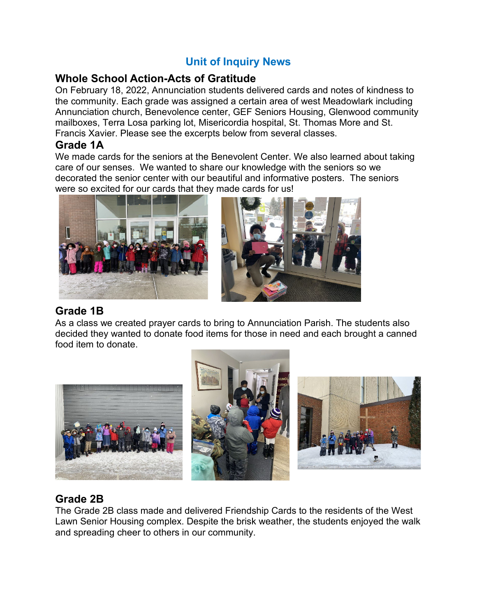## **Unit of Inquiry News**

#### **Whole School Action-Acts of Gratitude**

On February 18, 2022, Annunciation students delivered cards and notes of kindness to the community. Each grade was assigned a certain area of west Meadowlark including Annunciation church, Benevolence center, GEF Seniors Housing, Glenwood community mailboxes, Terra Losa parking lot, Misericordia hospital, St. Thomas More and St. Francis Xavier. Please see the excerpts below from several classes.

#### **Grade 1A**

We made cards for the seniors at the Benevolent Center. We also learned about taking care of our senses. We wanted to share our knowledge with the seniors so we decorated the senior center with our beautiful and informative posters. The seniors were so excited for our cards that they made cards for us!



#### **Grade 1B**

As a class we created prayer cards to bring to Annunciation Parish. The students also decided they wanted to donate food items for those in need and each brought a canned food item to donate.



## **Grade 2B**

The Grade 2B class made and delivered Friendship Cards to the residents of the West Lawn Senior Housing complex. Despite the brisk weather, the students enjoyed the walk and spreading cheer to others in our community.